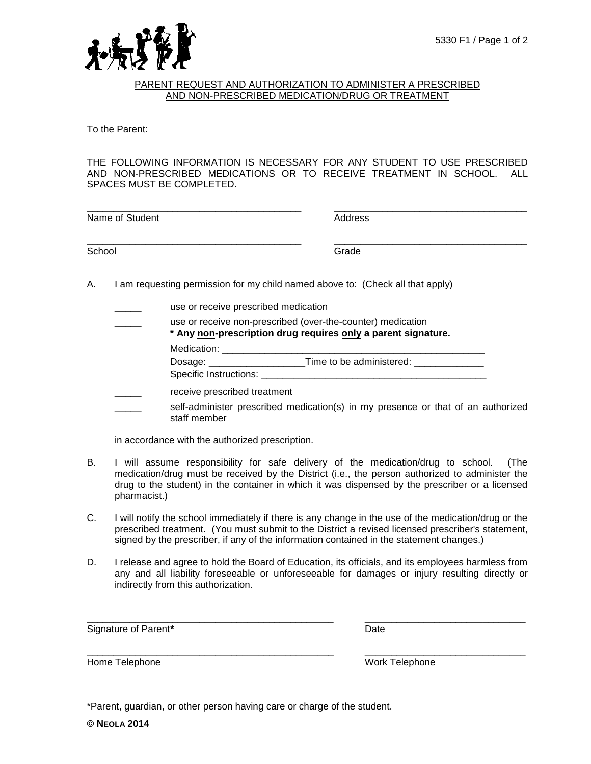

## PARENT REQUEST AND AUTHORIZATION TO ADMINISTER A PRESCRIBED AND NON-PRESCRIBED MEDICATION/DRUG OR TREATMENT

To the Parent:

THE FOLLOWING INFORMATION IS NECESSARY FOR ANY STUDENT TO USE PRESCRIBED AND NON-PRESCRIBED MEDICATIONS OR TO RECEIVE TREATMENT IN SCHOOL. ALL SPACES MUST BE COMPLETED.

| Name of Student                                                                           | Address |
|-------------------------------------------------------------------------------------------|---------|
| School                                                                                    | Grade   |
| am requesting parmission for my objet named above to: (Check all that apply)<br>$\Lambda$ |         |

- A. I am requesting permission for my child named above to: (Check all that apply)
	- use or receive prescribed medication

| use or receive non-prescribed (over-the-counter) medication<br>* Any non-prescription drug requires only a parent signature. |             |
|------------------------------------------------------------------------------------------------------------------------------|-------------|
|                                                                                                                              | Medication: |

Dosage: \_\_\_\_\_\_\_\_\_\_\_\_\_\_\_\_\_\_Time to be administered: \_\_\_\_\_\_\_\_\_\_\_\_\_ Specific Instructions:

- receive prescribed treatment
- self-administer prescribed medication(s) in my presence or that of an authorized staff member

in accordance with the authorized prescription.

- B. I will assume responsibility for safe delivery of the medication/drug to school. (The medication/drug must be received by the District (i.e., the person authorized to administer the drug to the student) in the container in which it was dispensed by the prescriber or a licensed pharmacist.)
- C. I will notify the school immediately if there is any change in the use of the medication/drug or the prescribed treatment. (You must submit to the District a revised licensed prescriber's statement, signed by the prescriber, if any of the information contained in the statement changes.)
- D. I release and agree to hold the Board of Education, its officials, and its employees harmless from any and all liability foreseeable or unforeseeable for damages or injury resulting directly or indirectly from this authorization.

\_\_\_\_\_\_\_\_\_\_\_\_\_\_\_\_\_\_\_\_\_\_\_\_\_\_\_\_\_\_\_\_\_\_\_\_\_\_\_\_\_\_\_\_\_\_ \_\_\_\_\_\_\_\_\_\_\_\_\_\_\_\_\_\_\_\_\_\_\_\_\_\_\_\_\_\_

\_\_\_\_\_\_\_\_\_\_\_\_\_\_\_\_\_\_\_\_\_\_\_\_\_\_\_\_\_\_\_\_\_\_\_\_\_\_\_\_\_\_\_\_\_\_ \_\_\_\_\_\_\_\_\_\_\_\_\_\_\_\_\_\_\_\_\_\_\_\_\_\_\_\_\_\_

Signature of Parent<sup>\*</sup> Date **Date** Date **Date** 

Home Telephone Work Telephone

\*Parent, guardian, or other person having care or charge of the student.

**© NEOLA 2014**